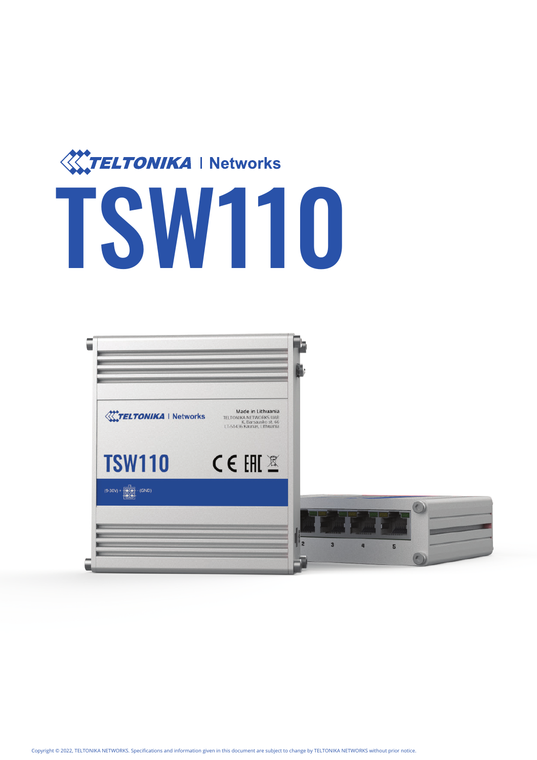

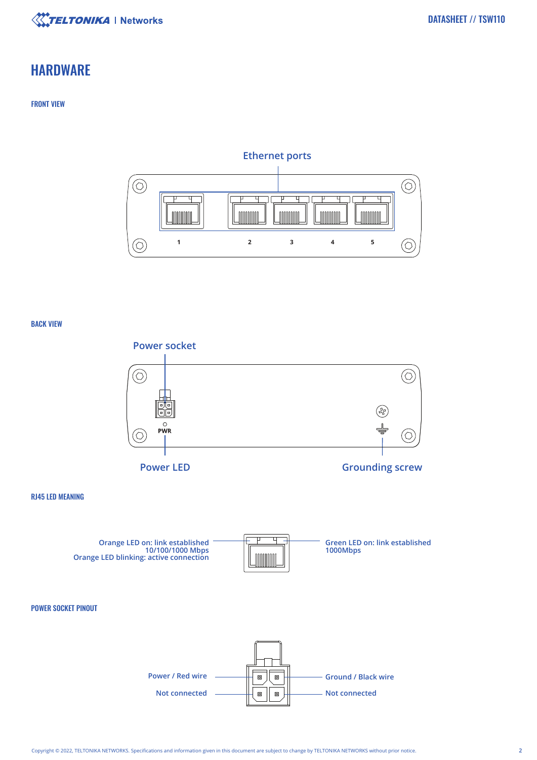

# **HARDWARE**

# FRONT VIEW

# **Ethernet ports**



### BACK VIEW

RJ45 LED MEANING





**Not connected Not connected**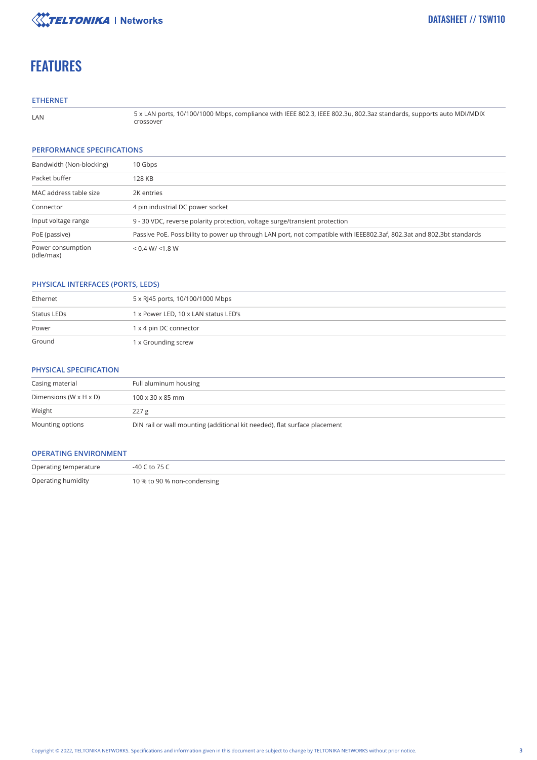

# **FEATURES**

### **ETHERNET**

LAN

5 x LAN ports, 10/100/1000 Mbps, compliance with IEEE 802.3, IEEE 802.3u, 802.3az standards, supports auto MDI/MDIX crossover

#### **PERFORMANCE SPECIFICATIONS**

| Bandwidth (Non-blocking)        | 10 Gbps                                                                                                               |
|---------------------------------|-----------------------------------------------------------------------------------------------------------------------|
| Packet buffer                   | 128 KB                                                                                                                |
| MAC address table size          | 2K entries                                                                                                            |
| Connector                       | 4 pin industrial DC power socket                                                                                      |
| Input voltage range             | 9 - 30 VDC, reverse polarity protection, voltage surge/transient protection                                           |
| PoE (passive)                   | Passive PoE. Possibility to power up through LAN port, not compatible with IEEE802.3af, 802.3at and 802.3bt standards |
| Power consumption<br>(idle/max) | < 0.4 W / < 1.8 W                                                                                                     |

## **PHYSICAL INTERFACES (PORTS, LEDS)**

| Ethernet    | 5 x RJ45 ports, 10/100/1000 Mbps     |
|-------------|--------------------------------------|
| Status LEDs | 1 x Power LED, 10 x LAN status LED's |
| Power       | 1 x 4 pin DC connector               |
| Ground      | 1 x Grounding screw                  |

## **PHYSICAL SPECIFICATION**

| Casing material                      | Full aluminum housing                                                     |
|--------------------------------------|---------------------------------------------------------------------------|
| Dimensions ( $W \times H \times D$ ) | $100 \times 30 \times 85$ mm                                              |
| Weight                               | 227 g                                                                     |
| Mounting options                     | DIN rail or wall mounting (additional kit needed), flat surface placement |

#### **OPERATING ENVIRONMENT**

| Operating temperature | -40 C to 75 C               |
|-----------------------|-----------------------------|
| Operating humidity    | 10 % to 90 % non-condensing |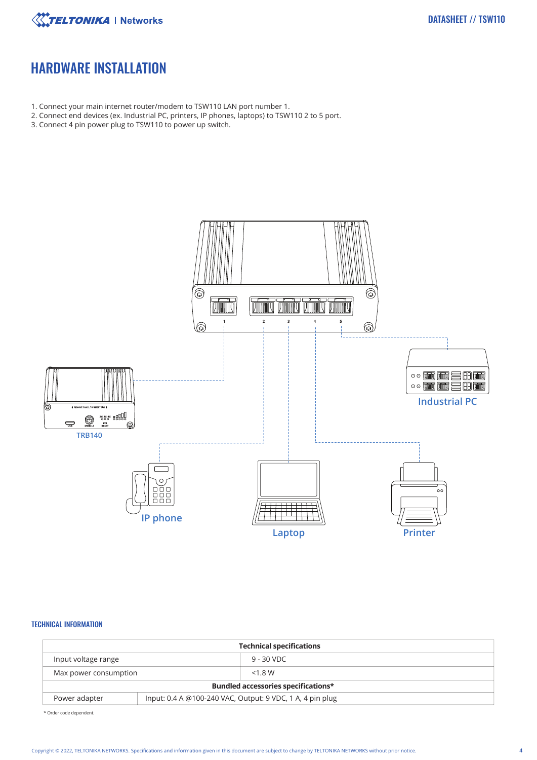

# HARDWARE INSTALLATION

- 1. Connect your main internet router/modem to TSW110 LAN port number 1.
- 2. Connect end devices (ex. Industrial PC, printers, IP phones, laptops) to TSW110 2 to 5 port.
- 3. Connect 4 pin power plug to TSW110 to power up switch.



### TECHNICAL INFORMATION

| <b>Technical specifications</b>            |  |                                                           |  |
|--------------------------------------------|--|-----------------------------------------------------------|--|
| Input voltage range                        |  | $9 - 30$ VDC                                              |  |
| Max power consumption                      |  | $<$ 1.8 W                                                 |  |
| <b>Bundled accessories specifications*</b> |  |                                                           |  |
| Power adapter                              |  | Input: 0.4 A @100-240 VAC, Output: 9 VDC, 1 A, 4 pin plug |  |

\* Order code dependent.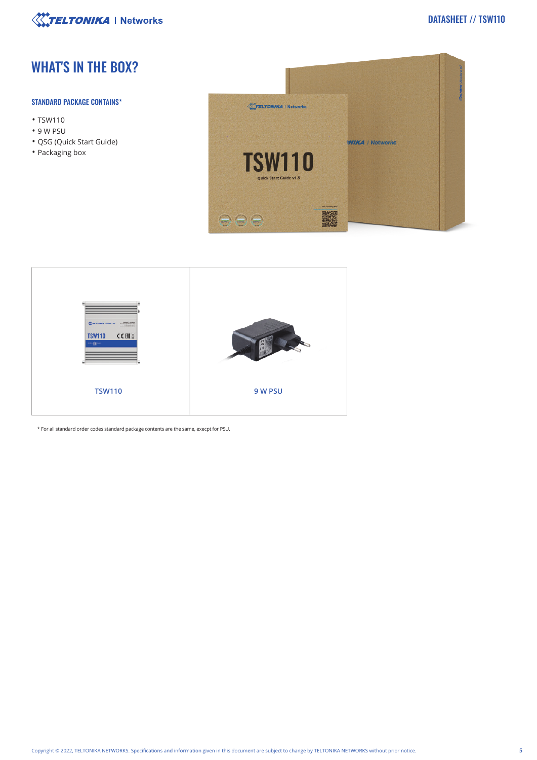

# WHAT'S IN THE BOX?

## STANDARD PACKAGE CONTAINS\*

- TSW110
- 9 W PSU
- QSG (Quick Start Guide)
- Packaging box





\* For all standard order codes standard package contents are the same, execpt for PSU.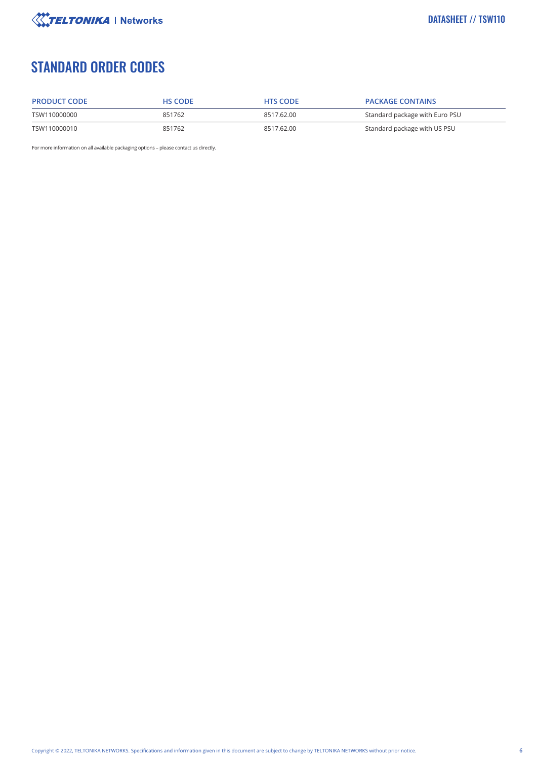

# STANDARD ORDER CODES

| <b>PRODUCT CODE</b> | <b>HS CODE</b> | <b>HTS CODE</b> | <b>PACKAGE CONTAINS</b>        |
|---------------------|----------------|-----------------|--------------------------------|
| TSW110000000        | 851762         | 8517.62.00      | Standard package with Euro PSU |
| TSW110000010        | 851762         | 8517.62.00      | Standard package with US PSU   |

For more information on all available packaging options – please contact us directly.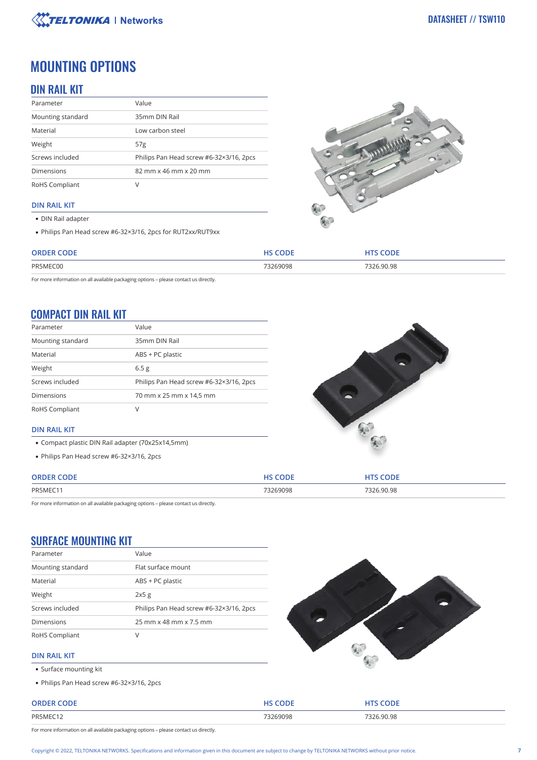

# MOUNTING OPTIONS

# DIN RAIL KIT

| Parameter         | Value                                   |
|-------------------|-----------------------------------------|
| Mounting standard | 35mm DIN Rail                           |
| Material          | Low carbon steel                        |
| Weight            | 57 <sub>g</sub>                         |
| Screws included   | Philips Pan Head screw #6-32×3/16, 2pcs |
| <b>Dimensions</b> | 82 mm x 46 mm x 20 mm                   |
| RoHS Compliant    | ν                                       |

## **DIN RAIL KIT**

- DIN Rail adapter
- Philips Pan Head screw #6-32×3/16, 2pcs for RUT2xx/RUT9xx



| חר:<br>ORDER | $\mathbf{F}$ $\mathbf{F}$ $\mathbf{F}$ | CODE.      |
|--------------|----------------------------------------|------------|
| PR5MEC00     | 73269098                               | 7326.90.98 |

For more information on all available packaging options – please contact us directly.

# COMPACT DIN RAIL KIT

| Parameter         | Value                                   |
|-------------------|-----------------------------------------|
| Mounting standard | 35mm DIN Rail                           |
| Material          | ABS + PC plastic                        |
| Weight            | 6.5 <sub>g</sub>                        |
| Screws included   | Philips Pan Head screw #6-32×3/16, 2pcs |
| <b>Dimensions</b> | 70 mm x 25 mm x 14,5 mm                 |
| RoHS Compliant    | V                                       |



## **DIN RAIL KIT**

- Compact plastic DIN Rail adapter (70x25x14,5mm)
- Philips Pan Head screw #6-32×3/16, 2pcs

| CODF<br><b>ORDER</b> | CODI     | <b>CODE</b> |
|----------------------|----------|-------------|
| PR5MEC11             | 73269098 | 7326.90.98  |

For more information on all available packaging options – please contact us directly.

# SURFACE MOUNTING KIT

| Parameter         | Value                                   |  |
|-------------------|-----------------------------------------|--|
| Mounting standard | Flat surface mount                      |  |
| Material          | ABS + PC plastic                        |  |
| Weight            | 2x5g                                    |  |
| Screws included   | Philips Pan Head screw #6-32×3/16, 2pcs |  |
| <b>Dimensions</b> | 25 mm x 48 mm x 7.5 mm                  |  |
| RoHS Compliant    | V                                       |  |



### **DIN RAIL KIT**

- Surface mounting kit
- Philips Pan Head screw #6-32×3/16, 2pcs

**ORDER CODE HS CODE HTS CODE** PR5MEC12 73269098 7326.90.98

For more information on all available packaging options – please contact us directly.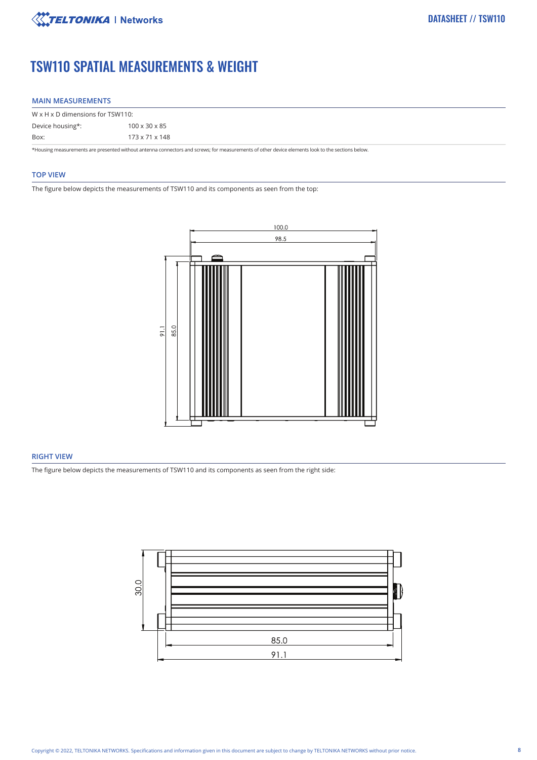

# TSW110 SPATIAL MEASUREMENTS & WEIGHT

#### **MAIN MEASUREMENTS**

| $W \times H \times D$ dimensions for TSW110:                                                                                                     |                            |  |
|--------------------------------------------------------------------------------------------------------------------------------------------------|----------------------------|--|
| Device housing*:                                                                                                                                 | $100 \times 30 \times 85$  |  |
| Box:                                                                                                                                             | $173 \times 71 \times 148$ |  |
| *Housing measurements are presented without antenna connectors and screws; for measurements of other device elements look to the sections below. |                            |  |

#### **TOP VIEW**

The figure below depicts the measurements of TSW110 and its components as seen from the top:



## **RIGHT VIEW**

The figure below depicts the measurements of TSW110 and its components as seen from the right side:

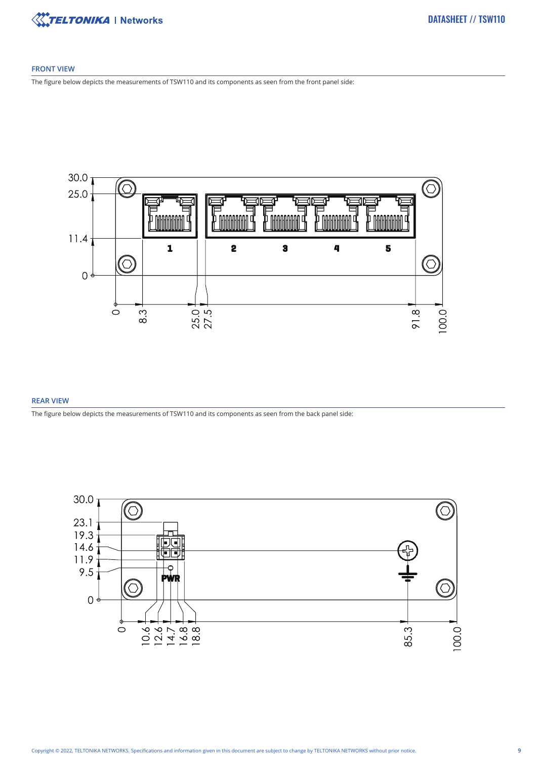

### **FRONT VIEW**

The figure below depicts the measurements of TSW110 and its components as seen from the front panel side:



## **REAR VIEW**

The figure below depicts the measurements of TSW110 and its components as seen from the back panel side:

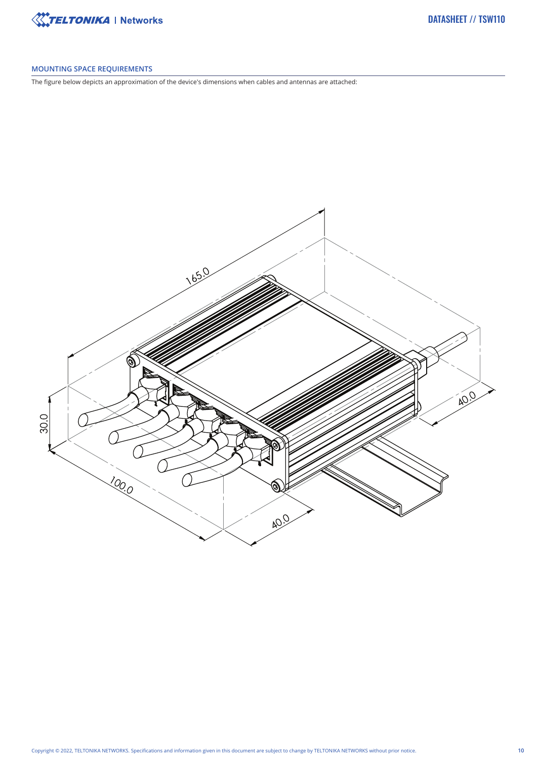

## **MOUNTING SPACE REQUIREMENTS**

The figure below depicts an approximation of the device's dimensions when cables and antennas are attached: